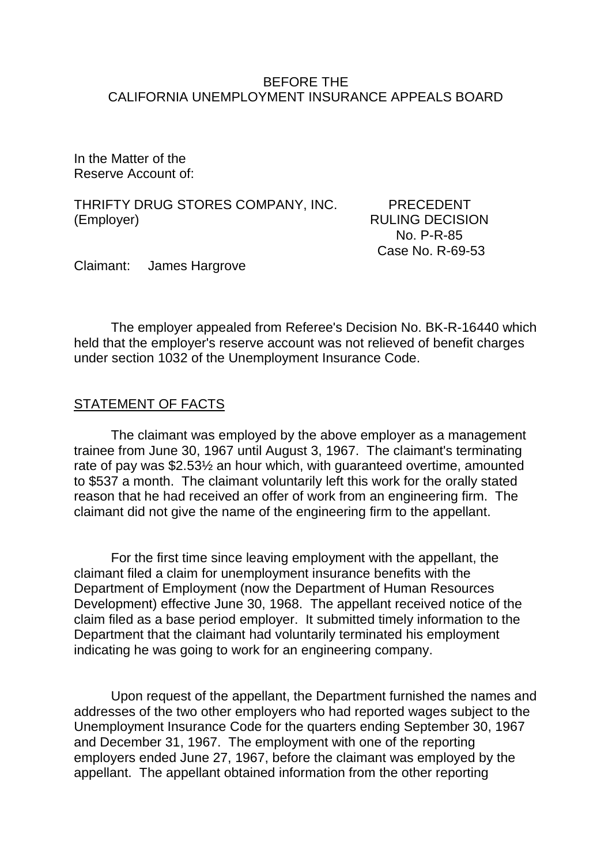#### BEFORE THE CALIFORNIA UNEMPLOYMENT INSURANCE APPEALS BOARD

In the Matter of the Reserve Account of:

THRIFTY DRUG STORES COMPANY, INC. PRECEDENT (Employer) RULING DECISION

 No. P-R-85 Case No. R-69-53

Claimant: James Hargrove

The employer appealed from Referee's Decision No. BK-R-16440 which held that the employer's reserve account was not relieved of benefit charges under section 1032 of the Unemployment Insurance Code.

### STATEMENT OF FACTS

The claimant was employed by the above employer as a management trainee from June 30, 1967 until August 3, 1967. The claimant's terminating rate of pay was \$2.53½ an hour which, with guaranteed overtime, amounted to \$537 a month. The claimant voluntarily left this work for the orally stated reason that he had received an offer of work from an engineering firm. The claimant did not give the name of the engineering firm to the appellant.

For the first time since leaving employment with the appellant, the claimant filed a claim for unemployment insurance benefits with the Department of Employment (now the Department of Human Resources Development) effective June 30, 1968. The appellant received notice of the claim filed as a base period employer. It submitted timely information to the Department that the claimant had voluntarily terminated his employment indicating he was going to work for an engineering company.

Upon request of the appellant, the Department furnished the names and addresses of the two other employers who had reported wages subject to the Unemployment Insurance Code for the quarters ending September 30, 1967 and December 31, 1967. The employment with one of the reporting employers ended June 27, 1967, before the claimant was employed by the appellant. The appellant obtained information from the other reporting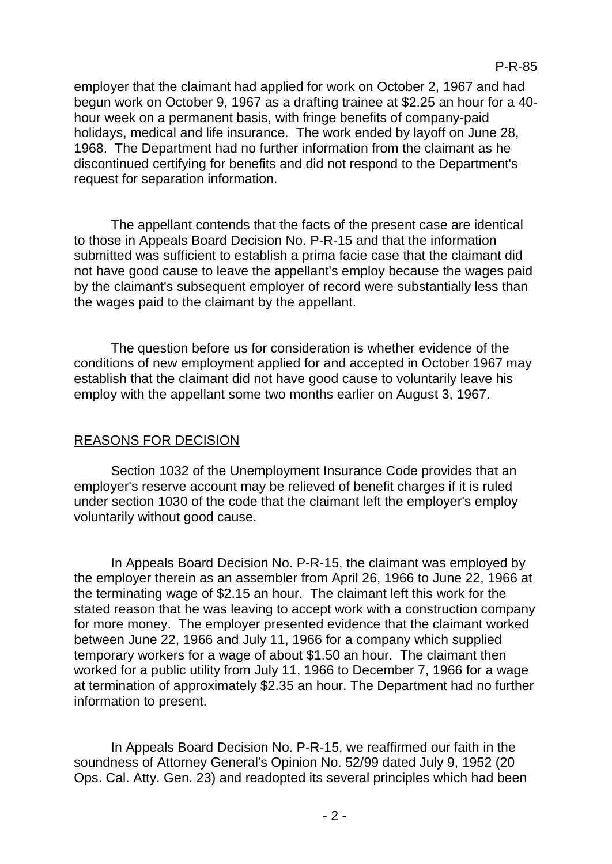employer that the claimant had applied for work on October 2, 1967 and had begun work on October 9, 1967 as a drafting trainee at \$2.25 an hour for a 40 hour week on a permanent basis, with fringe benefits of company-paid holidays, medical and life insurance. The work ended by layoff on June 28, 1968. The Department had no further information from the claimant as he discontinued certifying for benefits and did not respond to the Department's request for separation information.

The appellant contends that the facts of the present case are identical to those in Appeals Board Decision No. P-R-15 and that the information submitted was sufficient to establish a prima facie case that the claimant did not have good cause to leave the appellant's employ because the wages paid by the claimant's subsequent employer of record were substantially less than the wages paid to the claimant by the appellant.

The question before us for consideration is whether evidence of the conditions of new employment applied for and accepted in October 1967 may establish that the claimant did not have good cause to voluntarily leave his employ with the appellant some two months earlier on August 3, 1967.

# REASONS FOR DECISION

Section 1032 of the Unemployment Insurance Code provides that an employer's reserve account may be relieved of benefit charges if it is ruled under section 1030 of the code that the claimant left the employer's employ voluntarily without good cause.

In Appeals Board Decision No. P-R-15, the claimant was employed by the employer therein as an assembler from April 26, 1966 to June 22, 1966 at the terminating wage of \$2.15 an hour. The claimant left this work for the stated reason that he was leaving to accept work with a construction company for more money. The employer presented evidence that the claimant worked between June 22, 1966 and July 11, 1966 for a company which supplied temporary workers for a wage of about \$1.50 an hour. The claimant then worked for a public utility from July 11, 1966 to December 7, 1966 for a wage at termination of approximately \$2.35 an hour. The Department had no further information to present.

In Appeals Board Decision No. P-R-15, we reaffirmed our faith in the soundness of Attorney General's Opinion No. 52/99 dated July 9, 1952 (20 Ops. Cal. Atty. Gen. 23) and readopted its several principles which had been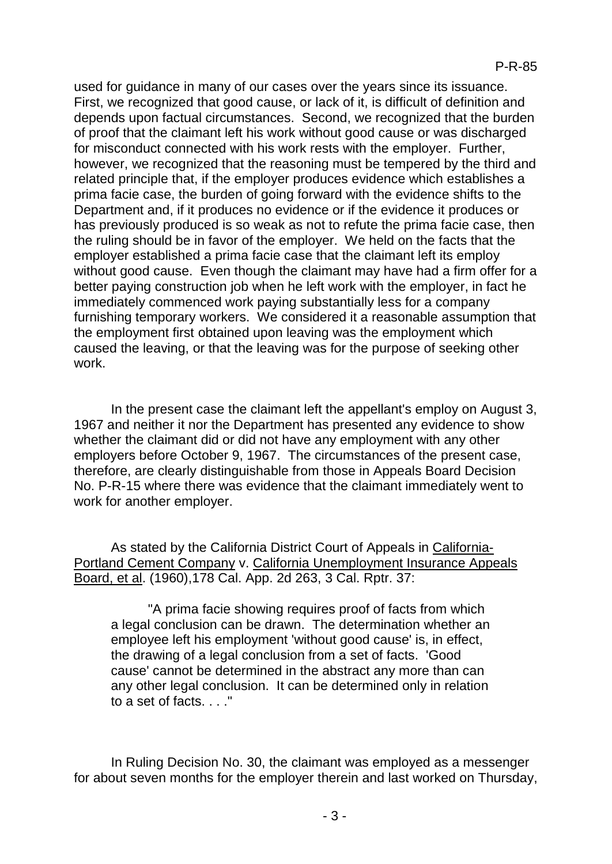used for guidance in many of our cases over the years since its issuance. First, we recognized that good cause, or lack of it, is difficult of definition and depends upon factual circumstances. Second, we recognized that the burden of proof that the claimant left his work without good cause or was discharged for misconduct connected with his work rests with the employer. Further, however, we recognized that the reasoning must be tempered by the third and related principle that, if the employer produces evidence which establishes a prima facie case, the burden of going forward with the evidence shifts to the Department and, if it produces no evidence or if the evidence it produces or has previously produced is so weak as not to refute the prima facie case, then the ruling should be in favor of the employer. We held on the facts that the employer established a prima facie case that the claimant left its employ without good cause. Even though the claimant may have had a firm offer for a better paying construction job when he left work with the employer, in fact he immediately commenced work paying substantially less for a company furnishing temporary workers. We considered it a reasonable assumption that the employment first obtained upon leaving was the employment which caused the leaving, or that the leaving was for the purpose of seeking other work.

In the present case the claimant left the appellant's employ on August 3, 1967 and neither it nor the Department has presented any evidence to show whether the claimant did or did not have any employment with any other employers before October 9, 1967. The circumstances of the present case, therefore, are clearly distinguishable from those in Appeals Board Decision No. P-R-15 where there was evidence that the claimant immediately went to work for another employer.

As stated by the California District Court of Appeals in California-Portland Cement Company v. California Unemployment Insurance Appeals Board, et al. (1960),178 Cal. App. 2d 263, 3 Cal. Rptr. 37:

"A prima facie showing requires proof of facts from which a legal conclusion can be drawn. The determination whether an employee left his employment 'without good cause' is, in effect, the drawing of a legal conclusion from a set of facts. 'Good cause' cannot be determined in the abstract any more than can any other legal conclusion. It can be determined only in relation to a set of facts. . . ."

In Ruling Decision No. 30, the claimant was employed as a messenger for about seven months for the employer therein and last worked on Thursday,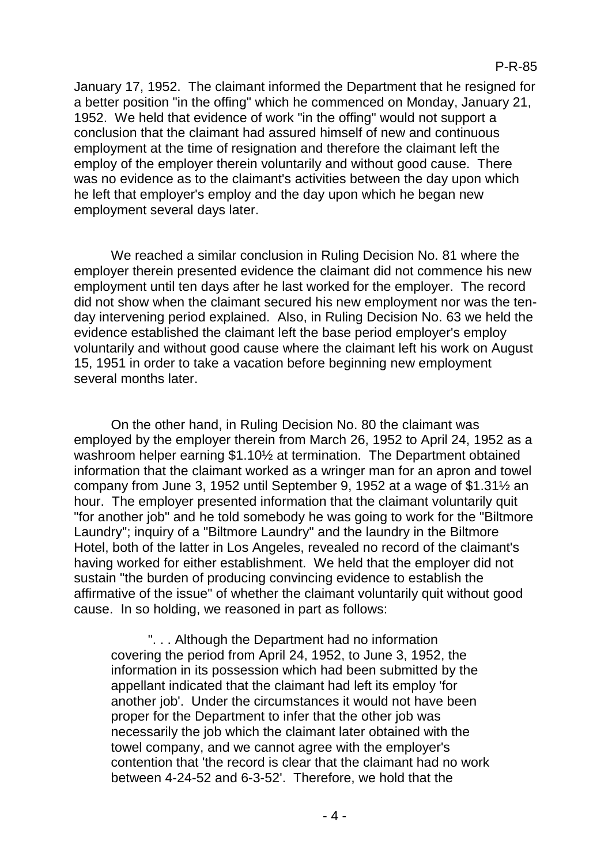January 17, 1952. The claimant informed the Department that he resigned for a better position "in the offing" which he commenced on Monday, January 21, 1952. We held that evidence of work "in the offing" would not support a conclusion that the claimant had assured himself of new and continuous employment at the time of resignation and therefore the claimant left the employ of the employer therein voluntarily and without good cause. There was no evidence as to the claimant's activities between the day upon which he left that employer's employ and the day upon which he began new employment several days later.

We reached a similar conclusion in Ruling Decision No. 81 where the employer therein presented evidence the claimant did not commence his new employment until ten days after he last worked for the employer. The record did not show when the claimant secured his new employment nor was the tenday intervening period explained. Also, in Ruling Decision No. 63 we held the evidence established the claimant left the base period employer's employ voluntarily and without good cause where the claimant left his work on August 15, 1951 in order to take a vacation before beginning new employment several months later.

On the other hand, in Ruling Decision No. 80 the claimant was employed by the employer therein from March 26, 1952 to April 24, 1952 as a washroom helper earning \$1.10½ at termination. The Department obtained information that the claimant worked as a wringer man for an apron and towel company from June 3, 1952 until September 9, 1952 at a wage of \$1.31½ an hour. The employer presented information that the claimant voluntarily quit "for another job" and he told somebody he was going to work for the "Biltmore Laundry"; inquiry of a "Biltmore Laundry" and the laundry in the Biltmore Hotel, both of the latter in Los Angeles, revealed no record of the claimant's having worked for either establishment. We held that the employer did not sustain "the burden of producing convincing evidence to establish the affirmative of the issue" of whether the claimant voluntarily quit without good cause. In so holding, we reasoned in part as follows:

". . . Although the Department had no information covering the period from April 24, 1952, to June 3, 1952, the information in its possession which had been submitted by the appellant indicated that the claimant had left its employ 'for another job'. Under the circumstances it would not have been proper for the Department to infer that the other job was necessarily the job which the claimant later obtained with the towel company, and we cannot agree with the employer's contention that 'the record is clear that the claimant had no work between 4-24-52 and 6-3-52'. Therefore, we hold that the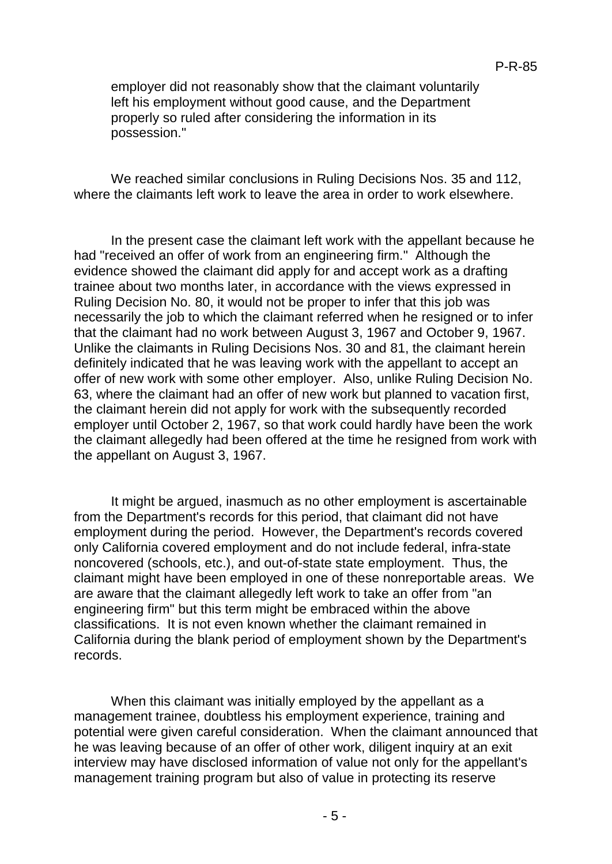employer did not reasonably show that the claimant voluntarily left his employment without good cause, and the Department properly so ruled after considering the information in its possession."

We reached similar conclusions in Ruling Decisions Nos. 35 and 112, where the claimants left work to leave the area in order to work elsewhere.

In the present case the claimant left work with the appellant because he had "received an offer of work from an engineering firm." Although the evidence showed the claimant did apply for and accept work as a drafting trainee about two months later, in accordance with the views expressed in Ruling Decision No. 80, it would not be proper to infer that this job was necessarily the job to which the claimant referred when he resigned or to infer that the claimant had no work between August 3, 1967 and October 9, 1967. Unlike the claimants in Ruling Decisions Nos. 30 and 81, the claimant herein definitely indicated that he was leaving work with the appellant to accept an offer of new work with some other employer. Also, unlike Ruling Decision No. 63, where the claimant had an offer of new work but planned to vacation first, the claimant herein did not apply for work with the subsequently recorded employer until October 2, 1967, so that work could hardly have been the work the claimant allegedly had been offered at the time he resigned from work with the appellant on August 3, 1967.

It might be argued, inasmuch as no other employment is ascertainable from the Department's records for this period, that claimant did not have employment during the period. However, the Department's records covered only California covered employment and do not include federal, infra-state noncovered (schools, etc.), and out-of-state state employment. Thus, the claimant might have been employed in one of these nonreportable areas. We are aware that the claimant allegedly left work to take an offer from "an engineering firm" but this term might be embraced within the above classifications. It is not even known whether the claimant remained in California during the blank period of employment shown by the Department's records.

When this claimant was initially employed by the appellant as a management trainee, doubtless his employment experience, training and potential were given careful consideration. When the claimant announced that he was leaving because of an offer of other work, diligent inquiry at an exit interview may have disclosed information of value not only for the appellant's management training program but also of value in protecting its reserve